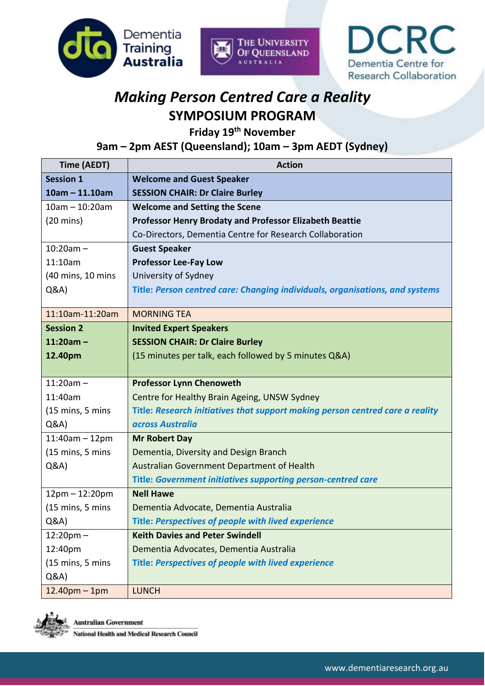





## *Making Person Centred Care a Reality* **SYMPOSIUM PROGRAM**

**Friday 19 th November**

**9am – 2pm AEST (Queensland); 10am – 3pm AEDT (Sydney)**

| Time (AEDT)                         | <b>Action</b>                                                                 |
|-------------------------------------|-------------------------------------------------------------------------------|
| <b>Session 1</b>                    | <b>Welcome and Guest Speaker</b>                                              |
| $10am - 11.10am$                    | <b>SESSION CHAIR: Dr Claire Burley</b>                                        |
| $10am - 10:20am$                    | <b>Welcome and Setting the Scene</b>                                          |
| $(20 \text{ mins})$                 | <b>Professor Henry Brodaty and Professor Elizabeth Beattie</b>                |
|                                     | Co-Directors, Dementia Centre for Research Collaboration                      |
| $10:20am -$                         | <b>Guest Speaker</b>                                                          |
| 11:10am                             | <b>Professor Lee-Fay Low</b>                                                  |
| (40 mins, 10 mins                   | University of Sydney                                                          |
| Q&A                                 | Title: Person centred care: Changing individuals, organisations, and systems  |
| 11:10am-11:20am                     | <b>MORNING TEA</b>                                                            |
| <b>Session 2</b>                    | <b>Invited Expert Speakers</b>                                                |
| $11:20am -$                         | <b>SESSION CHAIR: Dr Claire Burley</b>                                        |
| 12.40pm                             | (15 minutes per talk, each followed by 5 minutes Q&A)                         |
|                                     |                                                                               |
| $11:20am -$                         | <b>Professor Lynn Chenoweth</b>                                               |
| 11:40am                             | Centre for Healthy Brain Ageing, UNSW Sydney                                  |
| $(15 \text{ mins}, 5 \text{ mins})$ | Title: Research initiatives that support making person centred care a reality |
| Q&A                                 | across Australia                                                              |
| $11:40$ am - 12pm                   | <b>Mr Robert Day</b>                                                          |
| $(15 \text{ mins}, 5 \text{ mins})$ | Dementia, Diversity and Design Branch                                         |
| Q&A                                 | Australian Government Department of Health                                    |
|                                     | <b>Title: Government initiatives supporting person-centred care</b>           |
| $12pm - 12:20pm$                    | <b>Nell Hawe</b>                                                              |
| $(15 \text{ mins}, 5 \text{ mins})$ | Dementia Advocate, Dementia Australia                                         |
| Q&A                                 | Title: Perspectives of people with lived experience                           |
| $12:20$ pm $-$                      | <b>Keith Davies and Peter Swindell</b>                                        |
| 12:40pm                             | Dementia Advocates, Dementia Australia                                        |
| (15 mins, 5 mins                    | Title: Perspectives of people with lived experience                           |
| Q&A                                 |                                                                               |
| $12.40pm - 1pm$                     | <b>LUNCH</b>                                                                  |



**Australian Government National Health and Medical Research Council**